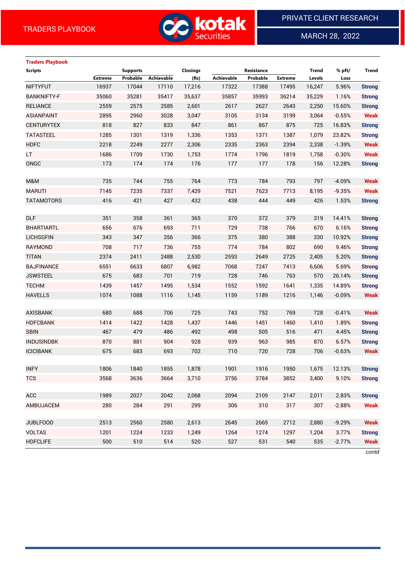

MARCH 28, 2022

 $\overline{a}$ 

# **Traders Playbook**

| <b>Scripts</b>     |                | <b>Supports</b> |            | Closings |            | Resistance |                | <b>Trend</b> | % pft/   | <b>Trend</b>  |
|--------------------|----------------|-----------------|------------|----------|------------|------------|----------------|--------------|----------|---------------|
|                    | <b>Extreme</b> | Probable        | Achievable | (Rs)     | Achievable | Probable   | <b>Extreme</b> | Levels       | Loss     |               |
| <b>NIFTYFUT</b>    | 16937          | 17044           | 17110      | 17,216   | 17322      | 17388      | 17495          | 16,247       | 5.96%    | <b>Strong</b> |
| <b>BANKNIFTY-F</b> | 35060          | 35281           | 35417      | 35,637   | 35857      | 35993      | 36214          | 35,229       | 1.16%    | <b>Strong</b> |
| <b>RELIANCE</b>    | 2559           | 2575            | 2585       | 2,601    | 2617       | 2627       | 2643           | 2,250        | 15.60%   | <b>Strong</b> |
| <b>ASIANPAINT</b>  | 2895           | 2960            | 3028       | 3,047    | 3105       | 3134       | 3199           | 3,064        | $-0.55%$ | <b>Weak</b>   |
| <b>CENTURYTEX</b>  | 818            | 827             | 833        | 847      | 861        | 867        | 875            | 725          | 16.83%   | <b>Strong</b> |
| <b>TATASTEEL</b>   | 1285           | 1301            | 1319       | 1,336    | 1353       | 1371       | 1387           | 1,079        | 23.82%   | <b>Strong</b> |
| <b>HDFC</b>        | 2218           | 2249            | 2277       | 2,306    | 2335       | 2363       | 2394           | 2,338        | $-1.39%$ | <b>Weak</b>   |
| LT.                | 1686           | 1709            | 1730       | 1,753    | 1774       | 1796       | 1819           | 1,758        | $-0.30%$ | <b>Weak</b>   |
| ONGC               | 173            | 174             | 174        | 176      | 177        | 177        | 178            | 156          | 12.28%   | <b>Strong</b> |
|                    |                |                 |            |          |            |            |                |              |          |               |
| M&M                | 735            | 744             | 755        | 764      | 773        | 784        | 793            | 797          | $-4.09%$ | <b>Weak</b>   |
| <b>MARUTI</b>      | 7145           | 7235            | 7337       | 7,429    | 7521       | 7623       | 7713           | 8,195        | $-9.35%$ | <b>Weak</b>   |
| <b>TATAMOTORS</b>  | 416            | 421             | 427        | 432      | 438        | 444        | 449            | 426          | 1.53%    | <b>Strong</b> |
|                    |                |                 |            |          |            |            |                |              |          |               |
| <b>DLF</b>         | 351            | 358             | 361        | 365      | 370        | 372        | 379            | 319          | 14.41%   | <b>Strong</b> |
| <b>BHARTIARTL</b>  | 656            | 676             | 693        | 711      | 729        | 738        | 766            | 670          | 6.16%    | <b>Strong</b> |
| <b>LICHSGFIN</b>   | 343            | 347             | 356        | 366      | 375        | 380        | 388            | 330          | 10.92%   | <b>Strong</b> |
| <b>RAYMOND</b>     | 708            | 717             | 736        | 755      | 774        | 784        | 802            | 690          | 9.46%    | <b>Strong</b> |
| <b>TITAN</b>       | 2374           | 2411            | 2488       | 2,530    | 2593       | 2649       | 2725           | 2,405        | 5.20%    | <b>Strong</b> |
| <b>BAJFINANCE</b>  | 6551           | 6633            | 6807       | 6,982    | 7068       | 7247       | 7413           | 6,606        | 5.69%    | <b>Strong</b> |
| <b>JSWSTEEL</b>    | 675            | 683             | 701        | 719      | 728        | 746        | 763            | 570          | 26.14%   | <b>Strong</b> |
| <b>TECHM</b>       | 1439           | 1457            | 1495       | 1,534    | 1552       | 1592       | 1641           | 1,335        | 14.89%   | <b>Strong</b> |
| <b>HAVELLS</b>     | 1074           | 1088            | 1116       | 1,145    | 1159       | 1189       | 1216           | 1,146        | $-0.09%$ | <b>Weak</b>   |
|                    |                |                 |            |          |            |            |                |              |          |               |
| <b>AXISBANK</b>    | 680            | 688             | 706        | 725      | 743        | 752        | 769            | 728          | $-0.41%$ | <b>Weak</b>   |
| <b>HDFCBANK</b>    | 1414           | 1422            | 1428       | 1,437    | 1446       | 1451       | 1460           | 1,410        | 1.89%    | <b>Strong</b> |
| <b>SBIN</b>        | 467            | 479             | 486        | 492      | 498        | 505        | 516            | 471          | 4.45%    | <b>Strong</b> |
| <b>INDUSINDBK</b>  | 870            | 881             | 904        | 928      | 939        | 963        | 985            | 870          | 6.57%    | <b>Strong</b> |
| <b>ICICIBANK</b>   | 675            | 683             | 693        | 702      | 710        | 720        | 728            | 706          | $-0.63%$ | <b>Weak</b>   |
|                    |                |                 |            |          |            |            |                |              |          |               |
| <b>INFY</b>        | 1806           | 1840            | 1855       | 1,878    | 1901       | 1916       | 1950           | 1,675        | 12.13%   | <b>Strong</b> |
| <b>TCS</b>         | 3568           | 3636            | 3664       | 3,710    | 3756       | 3784       | 3852           | 3,400        | 9.10%    | <b>Strong</b> |
|                    |                |                 |            |          |            |            |                |              |          |               |
| ACC                | 1989           | 2027            | 2042       | 2,068    | 2094       | 2109       | 2147           | 2,011        | 2.83%    | <b>Strong</b> |
| AMBUJACEM          | 280            | 284             | 291        | 299      | 306        | 310        | 317            | 307          | $-2.88%$ | <b>Weak</b>   |
| <b>JUBLFOOD</b>    | 2513           | 2560            | 2580       | 2,613    | 2645       | 2665       | 2712           | 2,880        | $-9.29%$ | <b>Weak</b>   |
| <b>VOLTAS</b>      | 1201           | 1224            | 1233       | 1,249    | 1264       | 1274       | 1297           | 1,204        | 3.77%    | <b>Strong</b> |
| <b>HDFCLIFE</b>    | 500            | 510             | 514        | 520      | 527        | 531        | 540            | 535          | $-2.77%$ | <b>Weak</b>   |
|                    |                |                 |            |          |            |            |                |              |          |               |

*contd*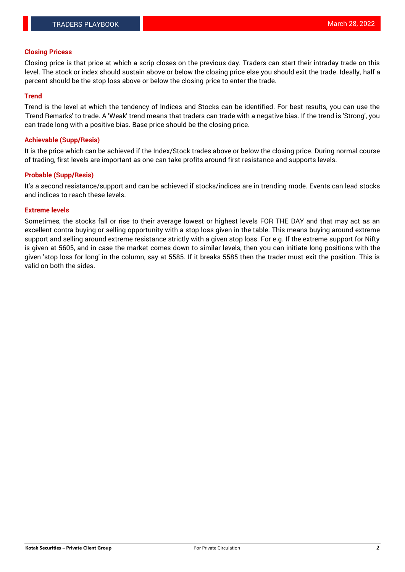### **Closing Pricess**

Closing price is that price at which a scrip closes on the previous day. Traders can start their intraday trade on this level. The stock or index should sustain above or below the closing price else you should exit the trade. Ideally, half a percent should be the stop loss above or below the closing price to enter the trade.

## **Trend**

Trend is the level at which the tendency of Indices and Stocks can be identified. For best results, you can use the 'Trend Remarks' to trade. A 'Weak' trend means that traders can trade with a negative bias. If the trend is 'Strong', you can trade long with a positive bias. Base price should be the closing price.

### **Achievable (Supp/Resis)**

It is the price which can be achieved if the Index/Stock trades above or below the closing price. During normal course of trading, first levels are important as one can take profits around first resistance and supports levels.

## **Probable (Supp/Resis)**

It's a second resistance/support and can be achieved if stocks/indices are in trending mode. Events can lead stocks and indices to reach these levels.

#### **Extreme levels**

Sometimes, the stocks fall or rise to their average lowest or highest levels FOR THE DAY and that may act as an excellent contra buying or selling opportunity with a stop loss given in the table. This means buying around extreme support and selling around extreme resistance strictly with a given stop loss. For e.g. If the extreme support for Nifty is given at 5605, and in case the market comes down to similar levels, then you can initiate long positions with the given 'stop loss for long' in the column, say at 5585. If it breaks 5585 then the trader must exit the position. This is valid on both the sides.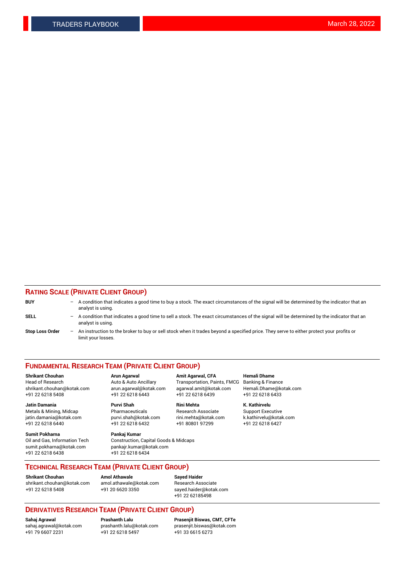## **RATING SCALE (PRIVATE CLIENT GROUP)**

| <b>BUY</b>             | $\overline{\phantom{0}}$ | A condition that indicates a good time to buy a stock. The exact circumstances of the signal will be determined by the indicator that an<br>analyst is using.  |
|------------------------|--------------------------|----------------------------------------------------------------------------------------------------------------------------------------------------------------|
| SELL                   |                          | A condition that indicates a good time to sell a stock. The exact circumstances of the signal will be determined by the indicator that an<br>analyst is using. |
| <b>Stop Loss Order</b> | $\overline{\phantom{0}}$ | An instruction to the broker to buy or sell stock when it trades beyond a specified price. They serve to either protect your profits or<br>limit your losses.  |

#### **FUNDAMENTAL RESEARCH TEAM (PRIVATE CLIENT GROUP)**

**Jatin Damania Purvi Shah Rini Mehta K. Kathirvelu** Metals & Mining, Midcap **Pharmaceuticals** Research Associate Support Executive jatin.damania@kotak.com [purvi.shah@kotak.com](mailto:purvi.shah@kotak.com) rini.mehta@kotak.com [k.kathirvelu@kotak.com](mailto:k.kathirvelu@kotak.com)

**Sumit Pokharna Pankaj Kumar** +91 22 6218 6438 +91 22 6218 6434

**Shrikant Chouhan Arun Agarwal Amit Agarwal, CFA Hemali Dhame**

 $+91$  22 6218 6432

Oil and Gas, Information Tech Construction, Capital Goods & Midcaps<br>sumit.pokharna@kotak.com pankair.kumar@kotak.com pankajr.kumar@kotak.com

Head of Research Auto & Auto Ancillary Transportation, Paints, FMCG Banking & Finance shrikant.chouhan@kotak.com arun.agarwal@kotak.com agarwal.amit@kotak.com Hemali.Dhame@kotak.com +91 22 6218 5408 +91 22 6218 6443 +91 22 6218 6439 +91 22 6218 6433

**TECHNICAL RESEARCH TEAM (PRIVATE CLIENT GROUP)**

[shrikant.chouhan@kotak.com](mailto:shrikant.chouhan@kotak.com) [amol.athawale@kotak.com](mailto:amol.athawale@kotak.com) Research Associate +91 22 6218 5408 +91 20 6620 3350 [sayed.haider@kotak.com](mailto:sayed.haider@kotak.com)

**Shrikant Chouhan Amol Athawale Sayed Haider**

+91 22 62185498

# **DERIVATIVES RESEARCH TEAM (PRIVATE CLIENT GROUP)**

.<br>+91 22 6218 5497

**Sahaj Agrawal Prashanth Lalu Prasenjit Biswas, CMT, CFTe** [sahaj.agrawal@kotak.com](mailto:sahaj.agrawal@kotak.com) [prashanth.lalu@kotak.com](mailto:prashanth.lalu@kotak.com) [prasenjit.biswas@kotak.com](mailto:prasenjit.biswas@kotak.com)